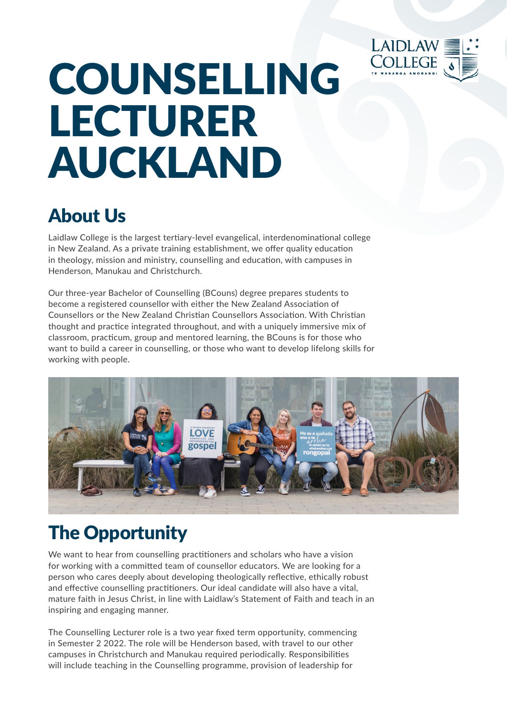

# COUNSELLING LECTURER AUCKLAND

### About Us

Laidlaw College is the largest tertiary-level evangelical, interdenominational college in New Zealand. As a private training establishment, we offer quality education in theology, mission and ministry, counselling and education, with campuses in Henderson, Manukau and Christchurch.

Our three-year Bachelor of Counselling (BCouns) degree prepares students to become a registered counsellor with either the New Zealand Association of Counsellors or the New Zealand Christian Counsellors Association. With Christian thought and practice integrated throughout, and with a uniquely immersive mix of classroom, practicum, group and mentored learning, the BCouns is for those who want to build a career in counselling, or those who want to develop lifelong skills for working with people.



## The Opportunity

We want to hear from counselling practitioners and scholars who have a vision for working with a committed team of counsellor educators. We are looking for a person who cares deeply about developing theologically reflective, ethically robust and effective counselling practitioners. Our ideal candidate will also have a vital, mature faith in Jesus Christ, in line with Laidlaw's Statement of Faith and teach in an inspiring and engaging manner.

The Counselling Lecturer role is a two year fixed term opportunity, commencing in Semester 2 2022. The role will be Henderson based, with travel to our other campuses in Christchurch and Manukau required periodically. Responsibilities will include teaching in the Counselling programme, provision of leadership for